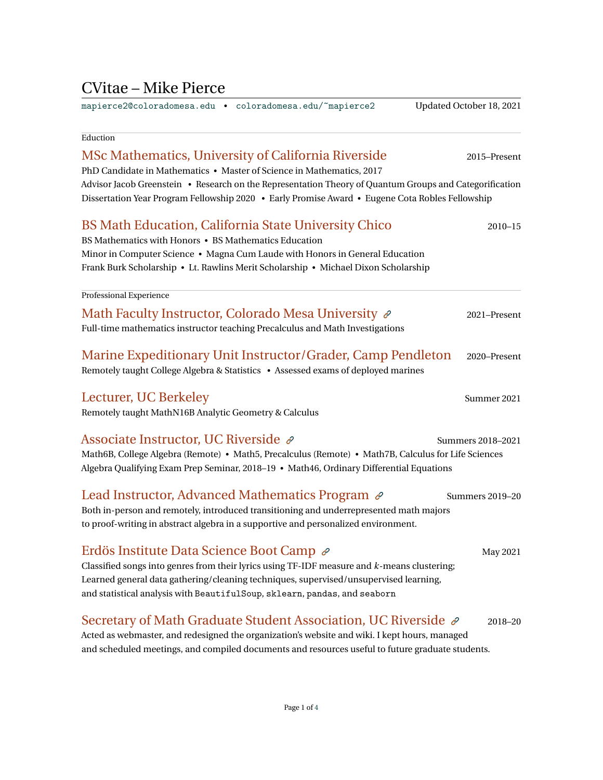## CVitae – Mike Pierce

[mapierce2@coloradomesa.edu](mailto:mapierce2@coloradomesa.edu) • [coloradomesa.edu/~mapierce2](https://org.coloradomesa.edu/~mapierce2/) Updated October 18, 2021

# Eduction MSc Mathematics, University of California Riverside 2015–Present PhD Candidate in Mathematics • Master of Science in Mathematics, 2017 Advisor Jacob Greenstein • Research on the Representation Theory of Quantum Groups and Categorification Dissertation Year Program Fellowship 2020 • Early Promise Award • Eugene Cota Robles Fellowship BS Math Education, California State University Chico 2010–15 BS Mathematics with Honors • BS Mathematics Education Minor in Computer Science • Magna Cum Laude with Honors in General Education Frank Burk Scholarship • Lt. Rawlins Merit Scholarship • Michael Dixon Scholarship Professional Experience Math Faculty Instructor, Colorado Mesa University  $\mathscr P$  2021–Present Full-time mathematics instructor teaching Precalculus and Math Investigations Marine Expeditionary Unit Instructor/Grader, Camp Pendleton 2020–Present Remotely taught College Algebra & Statistics • Assessed exams of deployed marines Lecturer, UC Berkeley Summer 2021 Remotely taught MathN16B Analytic Geometry & Calculus Associate Instructor, UC Riverside  $\mathscr P$  Summers 2018–2021 Math6B, College Algebra (Remote) • Math5, Precalculus (Remote) • Math7B, Calculus for Life Sciences Algebra Qualifying Exam Prep Seminar, 2018–19 • Math46, Ordinary Differential Equations Lead Instructor, Advanced Mathematics Program  $\mathscr{P}$  summers 2019–20 Both in-person and remotely, introduced transitioning and underrepresented math majors to proof-writing in abstract algebra in a supportive and personalized environment. Erdös Institute Data Science Boot Camp  $\mathscr P$  May 2021 Classified songs into genres from their lyrics using TF-IDF measure and *k*-means clustering; Learned general data gathering/cleaning techniques, supervised/unsupervised learning, and statistical analysis with BeautifulSoup, sklearn, pandas, and seaborn Secretary of Math Graduate Student Association, UC Riverside  $\mathscr{P}$  2018–20

Acted as webmaster, and redesigned the organization's website and wiki. I kept hours, managed and scheduled meetings, and compiled documents and resources useful to future graduate students.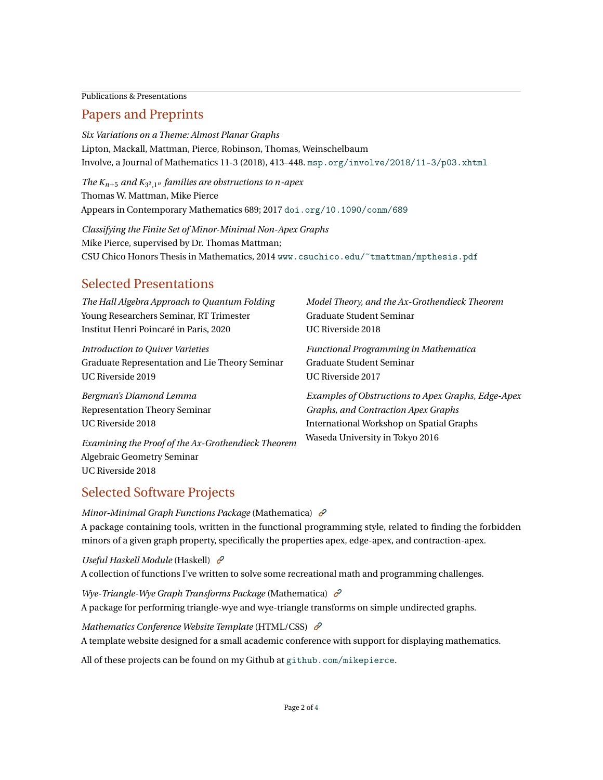Publications & Presentations

#### Papers and Preprints

*Six Variations on a Theme: Almost Planar Graphs* Lipton, Mackall, Mattman, Pierce, Robinson, Thomas, Weinschelbaum Involve, a Journal of Mathematics 11-3 (2018), 413–448. [msp.org/involve/2018/11-3/p03.xhtml](https://msp.org/involve/2018/11-3/p03.xhtml)

*The*  $K_{n+5}$  and  $K_{3^2,1^n}$  *families are obstructions to n-apex* Thomas W. Mattman, Mike Pierce Appears in Contemporary Mathematics 689; 2017 [doi.org/10.1090/conm/689](https://doi.org/10.1090/conm/689)

*Classifying the Finite Set of Minor-Minimal Non-Apex Graphs* Mike Pierce, supervised by Dr. Thomas Mattman; CSU Chico Honors Thesis in Mathematics, 2014 [www.csuchico.edu/~tmattman/mpthesis.pdf](http://www.csuchico.edu/~tmattman/mpthesis.pdf)

### Selected Presentations

| The Hall Algebra Approach to Quantum Folding       | Model Theory, and the Ax-Grothendieck Theorem      |
|----------------------------------------------------|----------------------------------------------------|
| Young Researchers Seminar, RT Trimester            | Graduate Student Seminar                           |
| Institut Henri Poincaré in Paris, 2020             | UC Riverside 2018                                  |
| Introduction to Quiver Varieties                   | <b>Functional Programming in Mathematica</b>       |
| Graduate Representation and Lie Theory Seminar     | Graduate Student Seminar                           |
| UC Riverside 2019                                  | UC Riverside 2017                                  |
| Bergman's Diamond Lemma                            | Examples of Obstructions to Apex Graphs, Edge-Apex |
| <b>Representation Theory Seminar</b>               | Graphs, and Contraction Apex Graphs                |
| UC Riverside 2018                                  | International Workshop on Spatial Graphs           |
| Examining the Proof of the Ax-Grothendieck Theorem | Waseda University in Tokyo 2016                    |
| Algebraic Geometry Seminar                         |                                                    |
| UC Riverside 2018                                  |                                                    |

## Selected Software Projects

*Minor-Minimal Graph Functions Package* (Mathematica) A package containing tools, written in the functional programming style, related to finding the forbidden minors of a given graph property, specifically the properties apex, edge-apex, and contraction-apex.

*Useful Haskell Module* (Haskell) A collection of functions I've written to solve some recreational math and programming challenges.

*Wye-Triangle-Wye Graph Transforms Package* (Mathematica) A package for performing triangle-wye and wye-triangle transforms on simple undirected graphs.

*Mathematics Conference Website Template* (HTML/CSS)  $\mathcal{E}$ A template website designed for a small academic conference with support for displaying mathematics.

All of these projects can be found on my Github at [github.com/mikepierce](https://github.com/mikepierce).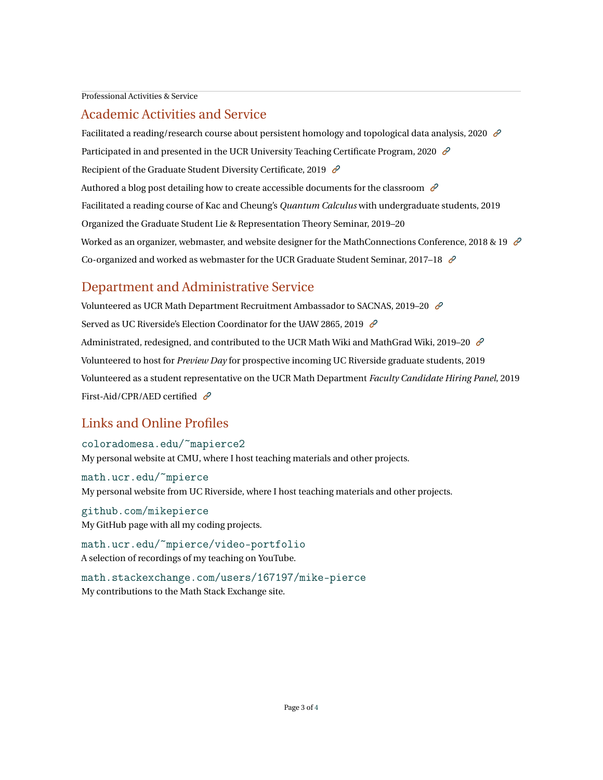Professional Activities & Service

#### Academic Activities and Service

Facilitated a reading/research course about persistent homology and topological data analysis, 2020  $\mathcal{O}$ Participated in and presented in the UCR University Teaching Certificate Program, 2020  $\mathcal{O}$ Recipient of the Graduate Student Diversity Certificate, 2019  $\mathcal{C}$ Authored a blog post detailing how to create accessible documents for the classroom  $\mathscr{O}$ Facilitated a reading course of Kac and Cheung's *Quantum Calculus* with undergraduate students, 2019 Organized the Graduate Student Lie & Representation Theory Seminar, 2019–20 Worked as an organizer, webmaster, and website designer for the MathConnections Conference, 2018 & 19  $\mathcal O$ Co-organized and worked as webmaster for the UCR Graduate Student Seminar, 2017–18  $\mathcal{O}$ 

#### Department and Administrative Service

Volunteered as UCR Math Department Recruitment Ambassador to SACNAS, 2019-20  $\mathcal O$ Served as UC Riverside's Election Coordinator for the UAW 2865, 2019  $\mathcal{L}$ Administrated, redesigned, and contributed to the UCR Math Wiki and MathGrad Wiki, 2019–20  $\mathcal O$ Volunteered to host for *Preview Day* for prospective incoming UC Riverside graduate students, 2019 Volunteered as a student representative on the UCR Math Department *Faculty Candidate Hiring Panel*, 2019 First-Aid/CPR/AED certified  $\mathcal{C}$ 

#### Links and Online Profiles

[coloradomesa.edu/~mapierce2](https://org.coloradomesa.edu/~mapierce2/) My personal website at CMU, where I host teaching materials and other projects.

[math.ucr.edu/~mpierce](https://math.ucr.edu/~mpierce/) My personal website from UC Riverside, where I host teaching materials and other projects.

[github.com/mikepierce](https://github.com/mikepierce) My GitHub page with all my coding projects.

[math.ucr.edu/~mpierce/video-portfolio](https://www.youtube.com/playlist?list=PLksTjwEn7yYpbM9zg1e2KLwwIfhfBHcG2) A selection of recordings of my teaching on YouTube.

[math.stackexchange.com/users/167197/mike-pierce](http://math.stackexchange.com/users/167197/mike-pierce?tab=profile) My contributions to the Math Stack Exchange site.